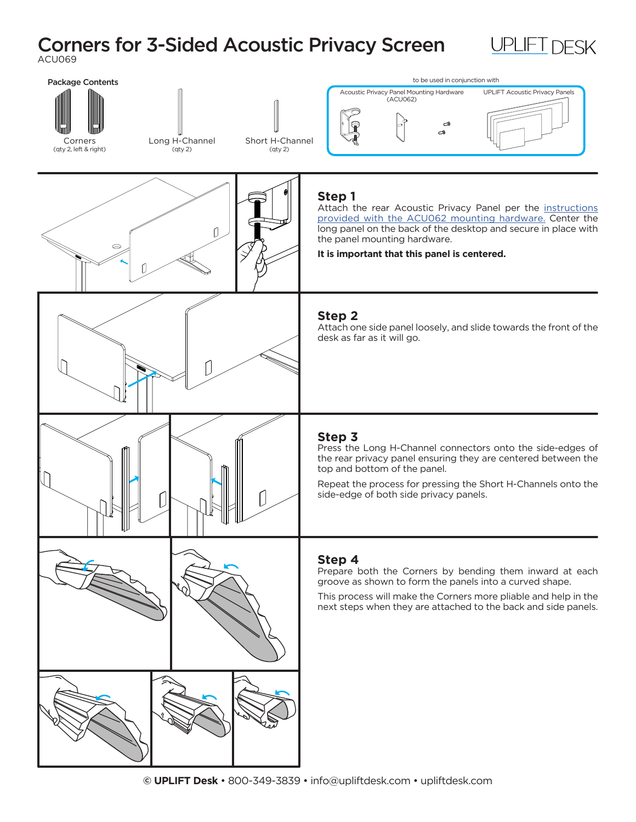## Corners for 3-Sided Acoustic Privacy Screen ACU069